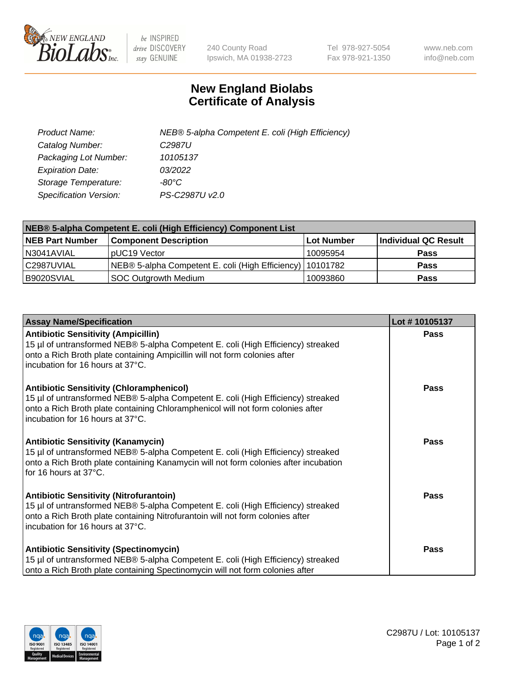

 $be$  INSPIRED drive DISCOVERY stay GENUINE

240 County Road Ipswich, MA 01938-2723 Tel 978-927-5054 Fax 978-921-1350 www.neb.com info@neb.com

## **New England Biolabs Certificate of Analysis**

| Product Name:                 | NEB® 5-alpha Competent E. coli (High Efficiency) |
|-------------------------------|--------------------------------------------------|
| Catalog Number:               | C <sub>2987</sub> U                              |
| Packaging Lot Number:         | 10105137                                         |
| <b>Expiration Date:</b>       | 03/2022                                          |
| Storage Temperature:          | -80°C                                            |
| <b>Specification Version:</b> | PS-C2987U v2.0                                   |

| NEB® 5-alpha Competent E. coli (High Efficiency) Component List |                                                             |            |                      |  |
|-----------------------------------------------------------------|-------------------------------------------------------------|------------|----------------------|--|
| <b>NEB Part Number</b>                                          | <b>Component Description</b>                                | Lot Number | Individual QC Result |  |
| N3041AVIAL                                                      | pUC19 Vector                                                | 10095954   | <b>Pass</b>          |  |
| C2987UVIAL                                                      | NEB® 5-alpha Competent E. coli (High Efficiency)   10101782 |            | <b>Pass</b>          |  |
| B9020SVIAL                                                      | <b>SOC Outgrowth Medium</b>                                 | 10093860   | <b>Pass</b>          |  |

| <b>Assay Name/Specification</b>                                                                                                                                                                                                                            | Lot #10105137 |
|------------------------------------------------------------------------------------------------------------------------------------------------------------------------------------------------------------------------------------------------------------|---------------|
| <b>Antibiotic Sensitivity (Ampicillin)</b><br>15 µl of untransformed NEB® 5-alpha Competent E. coli (High Efficiency) streaked<br>onto a Rich Broth plate containing Ampicillin will not form colonies after<br>incubation for 16 hours at 37°C.           | <b>Pass</b>   |
| <b>Antibiotic Sensitivity (Chloramphenicol)</b><br>15 µl of untransformed NEB® 5-alpha Competent E. coli (High Efficiency) streaked<br>onto a Rich Broth plate containing Chloramphenicol will not form colonies after<br>incubation for 16 hours at 37°C. | Pass          |
| Antibiotic Sensitivity (Kanamycin)<br>15 µl of untransformed NEB® 5-alpha Competent E. coli (High Efficiency) streaked<br>onto a Rich Broth plate containing Kanamycin will not form colonies after incubation<br>for 16 hours at 37°C.                    | Pass          |
| <b>Antibiotic Sensitivity (Nitrofurantoin)</b><br>15 µl of untransformed NEB® 5-alpha Competent E. coli (High Efficiency) streaked<br>onto a Rich Broth plate containing Nitrofurantoin will not form colonies after<br>incubation for 16 hours at 37°C.   | <b>Pass</b>   |
| <b>Antibiotic Sensitivity (Spectinomycin)</b><br>15 µl of untransformed NEB® 5-alpha Competent E. coli (High Efficiency) streaked<br>onto a Rich Broth plate containing Spectinomycin will not form colonies after                                         | Pass          |